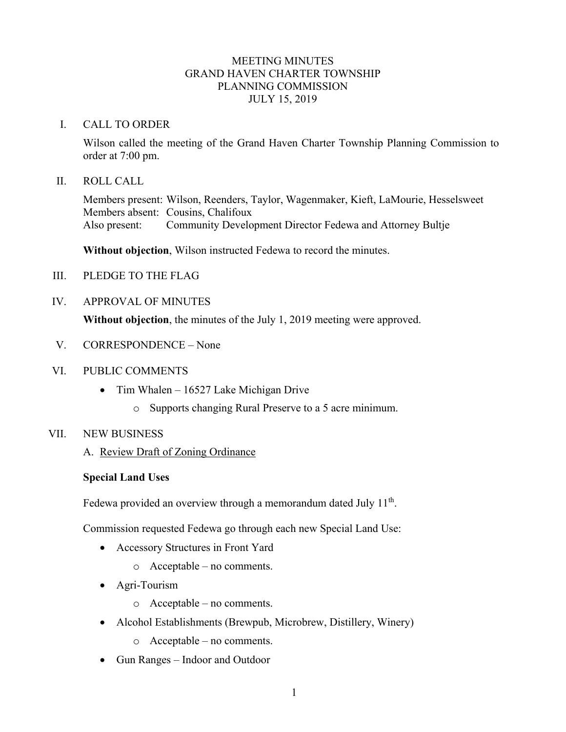# MEETING MINUTES GRAND HAVEN CHARTER TOWNSHIP PLANNING COMMISSION JULY 15, 2019

#### I. CALL TO ORDER

Wilson called the meeting of the Grand Haven Charter Township Planning Commission to order at 7:00 pm.

#### II. ROLL CALL

Members present: Wilson, Reenders, Taylor, Wagenmaker, Kieft, LaMourie, Hesselsweet Members absent: Cousins, Chalifoux Also present: Community Development Director Fedewa and Attorney Bultje

**Without objection**, Wilson instructed Fedewa to record the minutes.

- III. PLEDGE TO THE FLAG
- IV. APPROVAL OF MINUTES

**Without objection**, the minutes of the July 1, 2019 meeting were approved.

- V. CORRESPONDENCE None
- VI. PUBLIC COMMENTS
	- Tim Whalen 16527 Lake Michigan Drive
		- o Supports changing Rural Preserve to a 5 acre minimum.

## VII. NEW BUSINESS

A. Review Draft of Zoning Ordinance

## **Special Land Uses**

Fedewa provided an overview through a memorandum dated July  $11<sup>th</sup>$ .

Commission requested Fedewa go through each new Special Land Use:

- Accessory Structures in Front Yard
	- o Acceptable no comments.
- Agri-Tourism
	- o Acceptable no comments.
- Alcohol Establishments (Brewpub, Microbrew, Distillery, Winery)
	- o Acceptable no comments.
- Gun Ranges Indoor and Outdoor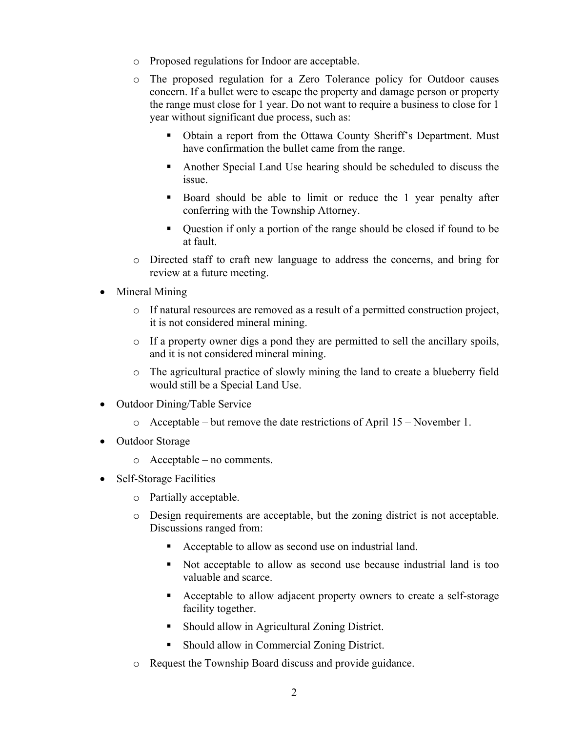- o Proposed regulations for Indoor are acceptable.
- o The proposed regulation for a Zero Tolerance policy for Outdoor causes concern. If a bullet were to escape the property and damage person or property the range must close for 1 year. Do not want to require a business to close for 1 year without significant due process, such as:
	- Obtain a report from the Ottawa County Sheriff's Department. Must have confirmation the bullet came from the range.
	- Another Special Land Use hearing should be scheduled to discuss the issue.
	- Board should be able to limit or reduce the 1 year penalty after conferring with the Township Attorney.
	- Question if only a portion of the range should be closed if found to be at fault.
- o Directed staff to craft new language to address the concerns, and bring for review at a future meeting.
- Mineral Mining
	- o If natural resources are removed as a result of a permitted construction project, it is not considered mineral mining.
	- $\circ$  If a property owner digs a pond they are permitted to sell the ancillary spoils, and it is not considered mineral mining.
	- o The agricultural practice of slowly mining the land to create a blueberry field would still be a Special Land Use.
- Outdoor Dining/Table Service
	- $\circ$  Acceptable but remove the date restrictions of April 15 November 1.
- Outdoor Storage
	- o Acceptable no comments.
- Self-Storage Facilities
	- o Partially acceptable.
	- o Design requirements are acceptable, but the zoning district is not acceptable. Discussions ranged from:
		- Acceptable to allow as second use on industrial land.
		- Not acceptable to allow as second use because industrial land is too valuable and scarce.
		- Acceptable to allow adjacent property owners to create a self-storage facility together.
		- Should allow in Agricultural Zoning District.
		- **Should allow in Commercial Zoning District.**
	- o Request the Township Board discuss and provide guidance.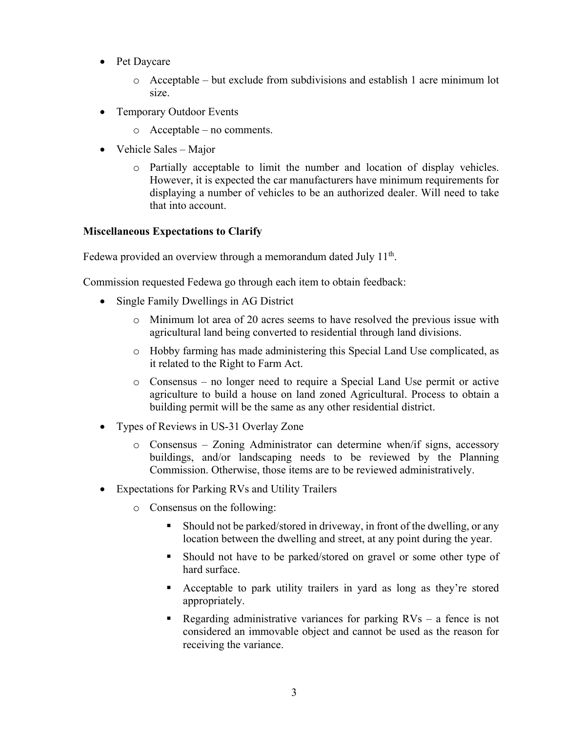- Pet Daycare
	- $\circ$  Acceptable but exclude from subdivisions and establish 1 acre minimum lot size.
- Temporary Outdoor Events
	- o Acceptable no comments.
- Vehicle Sales Major
	- o Partially acceptable to limit the number and location of display vehicles. However, it is expected the car manufacturers have minimum requirements for displaying a number of vehicles to be an authorized dealer. Will need to take that into account.

# **Miscellaneous Expectations to Clarify**

Fedewa provided an overview through a memorandum dated July  $11<sup>th</sup>$ .

Commission requested Fedewa go through each item to obtain feedback:

- Single Family Dwellings in AG District
	- o Minimum lot area of 20 acres seems to have resolved the previous issue with agricultural land being converted to residential through land divisions.
	- o Hobby farming has made administering this Special Land Use complicated, as it related to the Right to Farm Act.
	- o Consensus no longer need to require a Special Land Use permit or active agriculture to build a house on land zoned Agricultural. Process to obtain a building permit will be the same as any other residential district.
- Types of Reviews in US-31 Overlay Zone
	- o Consensus Zoning Administrator can determine when/if signs, accessory buildings, and/or landscaping needs to be reviewed by the Planning Commission. Otherwise, those items are to be reviewed administratively.
- Expectations for Parking RVs and Utility Trailers
	- o Consensus on the following:
		- Should not be parked/stored in driveway, in front of the dwelling, or any location between the dwelling and street, at any point during the year.
		- Should not have to be parked/stored on gravel or some other type of hard surface.
		- Acceptable to park utility trailers in yard as long as they're stored appropriately.
		- Regarding administrative variances for parking  $RVs a$  fence is not considered an immovable object and cannot be used as the reason for receiving the variance.